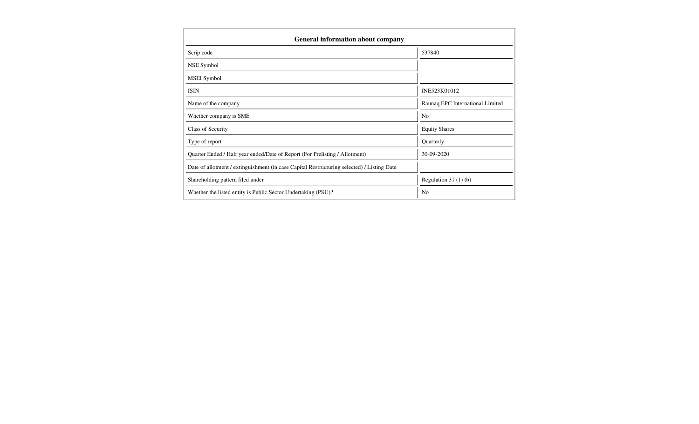| <b>General information about company</b>                                                   |                                  |  |  |  |  |
|--------------------------------------------------------------------------------------------|----------------------------------|--|--|--|--|
| Scrip code                                                                                 | 537840                           |  |  |  |  |
| NSE Symbol                                                                                 |                                  |  |  |  |  |
| MSEI Symbol                                                                                |                                  |  |  |  |  |
| <b>ISIN</b>                                                                                | INE523K01012                     |  |  |  |  |
| Name of the company                                                                        | Raunaq EPC International Limited |  |  |  |  |
| Whether company is SME                                                                     | N <sub>0</sub>                   |  |  |  |  |
| Class of Security                                                                          | <b>Equity Shares</b>             |  |  |  |  |
| Type of report                                                                             | Quarterly                        |  |  |  |  |
| Quarter Ended / Half year ended/Date of Report (For Prelisting / Allotment)                | 30-09-2020                       |  |  |  |  |
| Date of allotment / extinguishment (in case Capital Restructuring selected) / Listing Date |                                  |  |  |  |  |
| Shareholding pattern filed under                                                           | Regulation $31(1)(b)$            |  |  |  |  |
| Whether the listed entity is Public Sector Undertaking (PSU)?                              | N <sub>0</sub>                   |  |  |  |  |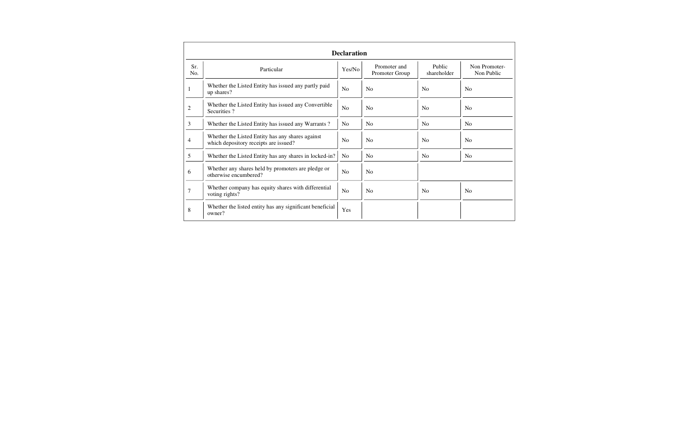|            |                                                                                           | <b>Declaration</b> |                                |                       |                             |
|------------|-------------------------------------------------------------------------------------------|--------------------|--------------------------------|-----------------------|-----------------------------|
| Sr.<br>No. | Particular                                                                                | Yes/No             | Promoter and<br>Promoter Group | Public<br>shareholder | Non Promoter-<br>Non Public |
|            | Whether the Listed Entity has issued any partly paid<br>up shares?                        | N <sub>0</sub>     | N <sub>0</sub>                 | <b>No</b>             | N <sub>0</sub>              |
| 2          | Whether the Listed Entity has issued any Convertible<br>Securities?                       | N <sub>o</sub>     | No                             | N <sub>0</sub>        | N <sub>0</sub>              |
| 3          | Whether the Listed Entity has issued any Warrants?                                        | N <sub>0</sub>     | N <sub>0</sub>                 | N <sub>o</sub>        | N <sub>o</sub>              |
| 4          | Whether the Listed Entity has any shares against<br>which depository receipts are issued? | N <sub>0</sub>     | N <sub>0</sub>                 | <b>No</b>             | N <sub>0</sub>              |
| 5          | Whether the Listed Entity has any shares in locked-in?                                    | N <sub>0</sub>     | <b>No</b>                      | N <sub>0</sub>        | N <sub>0</sub>              |
| 6          | Whether any shares held by promoters are pledge or<br>otherwise encumbered?               | N <sub>0</sub>     | N <sub>0</sub>                 |                       |                             |
| 7          | Whether company has equity shares with differential<br>voting rights?                     | N <sub>0</sub>     | N <sub>0</sub>                 | No                    | N <sub>0</sub>              |
| 8          | Whether the listed entity has any significant beneficial<br>owner?                        | Yes                |                                |                       |                             |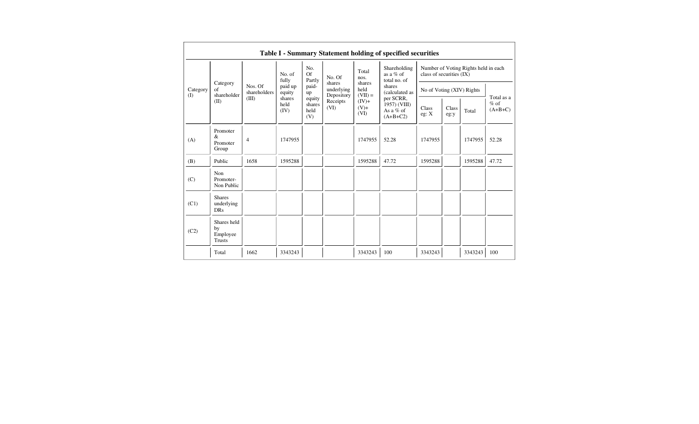|                                                                                                                                                                                                                                                                                                                                                                                                                   |                                                |                |                                   |                            |        |               | Table I - Summary Statement holding of specified securities |                                                                  |  |         |       |  |
|-------------------------------------------------------------------------------------------------------------------------------------------------------------------------------------------------------------------------------------------------------------------------------------------------------------------------------------------------------------------------------------------------------------------|------------------------------------------------|----------------|-----------------------------------|----------------------------|--------|---------------|-------------------------------------------------------------|------------------------------------------------------------------|--|---------|-------|--|
|                                                                                                                                                                                                                                                                                                                                                                                                                   |                                                |                | No. of<br>fully                   | No.<br><b>Of</b><br>Partly | No. Of | Total<br>nos. | Shareholding<br>as a % of<br>total no. of                   | Number of Voting Rights held in each<br>class of securities (IX) |  |         |       |  |
| shares<br>Category<br>Nos. Of<br>paid-<br>paid up<br>shares<br>underlying<br>held<br>Category<br>of<br>shareholders<br>equity<br>(calculated as<br>up<br>shareholder<br>$(VII) =$<br>Depository<br>(I)<br>(III)<br>shares<br>per SCRR,<br>equity<br>Receipts<br>$(IV)+$<br>(II)<br>held<br>1957) (VIII)<br>shares<br>(VI)<br>$(V)+$<br>Class<br>(IV)<br>held<br>As a $%$ of<br>(VI)<br>eg: X<br>(V)<br>$(A+B+C2)$ |                                                |                |                                   |                            | shares |               | No of Voting (XIV) Rights                                   |                                                                  |  |         |       |  |
|                                                                                                                                                                                                                                                                                                                                                                                                                   | Class<br>eg:y                                  | Total          | Total as a<br>$%$ of<br>$(A+B+C)$ |                            |        |               |                                                             |                                                                  |  |         |       |  |
| (A)                                                                                                                                                                                                                                                                                                                                                                                                               | Promoter<br>$\&$<br>Promoter<br>Group          | $\overline{4}$ | 1747955                           |                            |        | 1747955       | 52.28                                                       | 1747955                                                          |  | 1747955 | 52.28 |  |
| (B)                                                                                                                                                                                                                                                                                                                                                                                                               | Public                                         | 1658           | 1595288                           |                            |        | 1595288       | 47.72                                                       | 1595288                                                          |  | 1595288 | 47.72 |  |
| (C)                                                                                                                                                                                                                                                                                                                                                                                                               | Non<br>Promoter-<br>Non Public                 |                |                                   |                            |        |               |                                                             |                                                                  |  |         |       |  |
| (C1)                                                                                                                                                                                                                                                                                                                                                                                                              | <b>Shares</b><br>underlying<br><b>DRs</b>      |                |                                   |                            |        |               |                                                             |                                                                  |  |         |       |  |
| (C2)                                                                                                                                                                                                                                                                                                                                                                                                              | Shares held<br>by<br>Employee<br><b>Trusts</b> |                |                                   |                            |        |               |                                                             |                                                                  |  |         |       |  |
|                                                                                                                                                                                                                                                                                                                                                                                                                   | Total                                          | 1662           | 3343243                           |                            |        | 3343243       | 100                                                         | 3343243                                                          |  | 3343243 | 100   |  |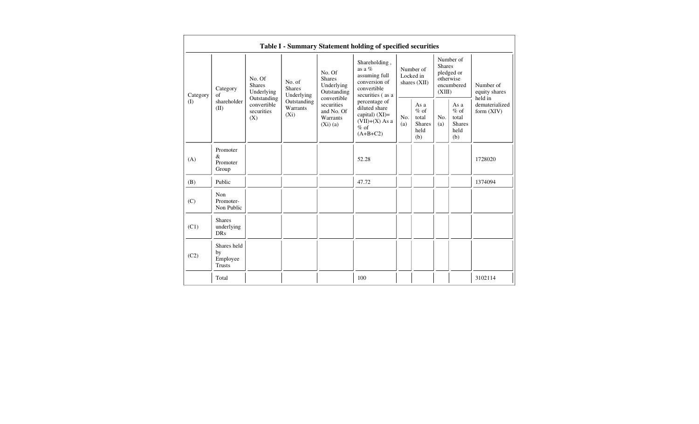|          |                                                |                                       |                                                                                                                                                                                                       |                                                                                                | Table I - Summary Statement holding of specified securities                                    |                                                         |                                          |                                                         |                                                    |                                       |
|----------|------------------------------------------------|---------------------------------------|-------------------------------------------------------------------------------------------------------------------------------------------------------------------------------------------------------|------------------------------------------------------------------------------------------------|------------------------------------------------------------------------------------------------|---------------------------------------------------------|------------------------------------------|---------------------------------------------------------|----------------------------------------------------|---------------------------------------|
| Category | Category<br>of                                 | No. Of<br><b>Shares</b><br>Underlying | No. Of<br><b>Shares</b><br>No. of<br>Underlying<br><b>Shares</b><br>Underlying<br>Outstanding<br>convertible<br>Outstanding<br>securities<br>Warrants<br>and No. Of<br>$(X_i)$<br>Warrants<br>(Xi)(a) | Outstanding                                                                                    | Shareholding,<br>as a $%$<br>assuming full<br>conversion of<br>convertible<br>securities (as a |                                                         | Number of<br>Locked in<br>shares $(XII)$ | <b>Shares</b><br>(XIII)                                 | Number of<br>pledged or<br>otherwise<br>encumbered | Number of<br>equity shares<br>held in |
| (I)      | shareholder<br>(II)                            | convertible<br>securities<br>(X)      |                                                                                                                                                                                                       | percentage of<br>diluted share<br>capital) $(XI)=$<br>$(VII)+(X)$ As a<br>$%$ of<br>$(A+B+C2)$ | No.<br>(a)                                                                                     | As a<br>$%$ of<br>total<br><b>Shares</b><br>held<br>(b) | No.<br>(a)                               | As a<br>$%$ of<br>total<br><b>Shares</b><br>held<br>(b) | dematerialized<br>form $(XIV)$                     |                                       |
| (A)      | Promoter<br>&<br>Promoter<br>Group             |                                       |                                                                                                                                                                                                       |                                                                                                | 52.28                                                                                          |                                                         |                                          |                                                         |                                                    | 1728020                               |
| (B)      | Public                                         |                                       |                                                                                                                                                                                                       |                                                                                                | 47.72                                                                                          |                                                         |                                          |                                                         |                                                    | 1374094                               |
| (C)      | Non<br>Promoter-<br>Non Public                 |                                       |                                                                                                                                                                                                       |                                                                                                |                                                                                                |                                                         |                                          |                                                         |                                                    |                                       |
| (C1)     | <b>Shares</b><br>underlying<br><b>DRs</b>      |                                       |                                                                                                                                                                                                       |                                                                                                |                                                                                                |                                                         |                                          |                                                         |                                                    |                                       |
| (C2)     | Shares held<br>by<br>Employee<br><b>Trusts</b> |                                       |                                                                                                                                                                                                       |                                                                                                |                                                                                                |                                                         |                                          |                                                         |                                                    |                                       |
|          | Total                                          |                                       |                                                                                                                                                                                                       |                                                                                                | 100                                                                                            |                                                         |                                          |                                                         |                                                    | 3102114                               |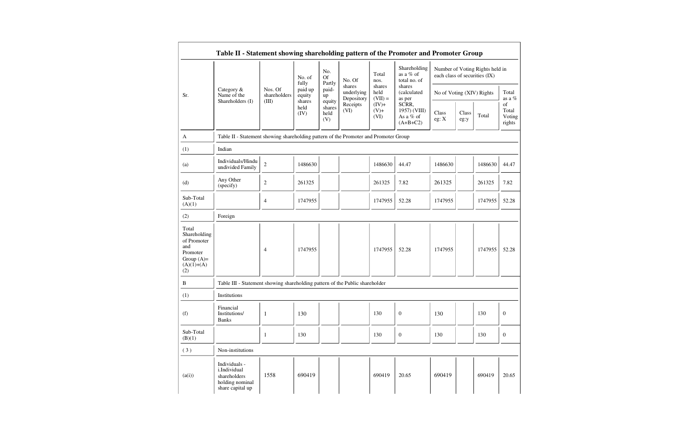|                                                                                                | Table II - Statement showing shareholding pattern of the Promoter and Promoter Group |                         |                        |                                 |                                    |                             |                                                  |                           |                                                                  |         |                                 |
|------------------------------------------------------------------------------------------------|--------------------------------------------------------------------------------------|-------------------------|------------------------|---------------------------------|------------------------------------|-----------------------------|--------------------------------------------------|---------------------------|------------------------------------------------------------------|---------|---------------------------------|
|                                                                                                |                                                                                      |                         | No. of<br>fully        | No.<br><b>Of</b><br>Partly      | No. Of                             | Total<br>nos.               | Shareholding<br>as a % of<br>total no. of        |                           | Number of Voting Rights held in<br>each class of securities (IX) |         |                                 |
| Sr.                                                                                            | Category $&$<br>Name of the                                                          | Nos. Of<br>shareholders | paid up<br>equity      | paid-<br>up                     | shares<br>underlying<br>Depository | shares<br>held<br>$(VII) =$ | shares<br><i>(calculated)</i><br>as per          | No of Voting (XIV) Rights |                                                                  |         | Total<br>as a $%$               |
|                                                                                                | Shareholders (I)                                                                     | (III)                   | shares<br>held<br>(IV) | equity<br>shares<br>held<br>(V) | Receipts<br>(VI)                   | $(IV)+$<br>$(V)+$<br>(VI)   | SCRR,<br>1957) (VIII)<br>As a % of<br>$(A+B+C2)$ | Class<br>eg: X            | Class<br>eg:y                                                    | Total   | of<br>Total<br>Voting<br>rights |
| А                                                                                              | Table II - Statement showing shareholding pattern of the Promoter and Promoter Group |                         |                        |                                 |                                    |                             |                                                  |                           |                                                                  |         |                                 |
| (1)                                                                                            | Indian                                                                               |                         |                        |                                 |                                    |                             |                                                  |                           |                                                                  |         |                                 |
| (a)                                                                                            | Individuals/Hindu<br>undivided Family                                                | $\overline{c}$          | 1486630                |                                 |                                    | 1486630                     | 44.47                                            | 1486630                   |                                                                  | 1486630 | 44.47                           |
| (d)                                                                                            | Any Other<br>(specify)                                                               | $\overline{c}$          | 261325                 |                                 |                                    | 261325                      | 7.82                                             | 261325                    |                                                                  | 261325  | 7.82                            |
| Sub-Total<br>(A)(1)                                                                            |                                                                                      | $\overline{4}$          | 1747955                |                                 |                                    | 1747955                     | 52.28                                            | 1747955                   |                                                                  | 1747955 | 52.28                           |
| (2)                                                                                            | Foreign                                                                              |                         |                        |                                 |                                    |                             |                                                  |                           |                                                                  |         |                                 |
| Total<br>Shareholding<br>of Promoter<br>and<br>Promoter<br>Group $(A)=$<br>$(A)(1)+(A)$<br>(2) |                                                                                      | $\overline{4}$          | 1747955                |                                 |                                    | 1747955                     | 52.28                                            | 1747955                   |                                                                  | 1747955 | 52.28                           |
| B                                                                                              | Table III - Statement showing shareholding pattern of the Public shareholder         |                         |                        |                                 |                                    |                             |                                                  |                           |                                                                  |         |                                 |
| (1)                                                                                            | Institutions                                                                         |                         |                        |                                 |                                    |                             |                                                  |                           |                                                                  |         |                                 |
| (f)                                                                                            | Financial<br>Institutions/<br><b>Banks</b>                                           | $\mathbf{1}$            | 130                    |                                 |                                    | 130                         | $\boldsymbol{0}$                                 | 130                       |                                                                  | 130     | $\mathbf{0}$                    |
| Sub-Total<br>(B)(1)                                                                            |                                                                                      | $\mathbf{1}$            | 130                    |                                 |                                    | 130                         | $\mathbf{0}$                                     | 130                       |                                                                  | 130     | $\mathbf{0}$                    |
| (3)                                                                                            | Non-institutions                                                                     |                         |                        |                                 |                                    |                             |                                                  |                           |                                                                  |         |                                 |
| (a(i))                                                                                         | Individuals -<br>i.Individual<br>shareholders<br>holding nominal<br>share capital up | 1558                    | 690419                 |                                 |                                    | 690419                      | 20.65                                            | 690419                    |                                                                  | 690419  | 20.65                           |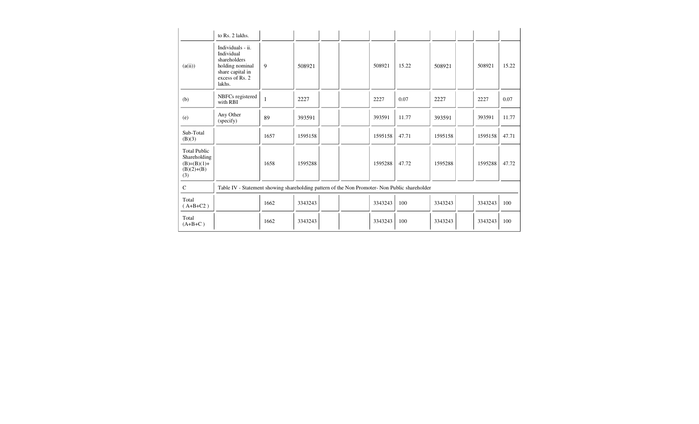|                                                                             | to Rs. 2 lakhs.                                                                                                     |              |         |  |         |       |         |                                                                                               |         |       |
|-----------------------------------------------------------------------------|---------------------------------------------------------------------------------------------------------------------|--------------|---------|--|---------|-------|---------|-----------------------------------------------------------------------------------------------|---------|-------|
| (a(ii))                                                                     | Individuals - ii.<br>Individual<br>shareholders<br>holding nominal<br>share capital in<br>excess of Rs. 2<br>lakhs. | 9            | 508921  |  | 508921  | 15.22 | 508921  |                                                                                               | 508921  | 15.22 |
| (b)                                                                         | NBFCs registered<br>with RBI                                                                                        | $\mathbf{1}$ | 2227    |  | 2227    | 0.07  | 2227    |                                                                                               | 2227    | 0.07  |
| (e)                                                                         | Any Other<br>(specify)                                                                                              | 89           | 393591  |  | 393591  | 11.77 | 393591  |                                                                                               | 393591  | 11.77 |
| Sub-Total<br>(B)(3)                                                         |                                                                                                                     | 1657         | 1595158 |  | 1595158 | 47.71 | 1595158 |                                                                                               | 1595158 | 47.71 |
| <b>Total Public</b><br>Shareholding<br>$(B)=(B)(1)+$<br>$(B)(2)+(B)$<br>(3) |                                                                                                                     | 1658         | 1595288 |  | 1595288 | 47.72 | 1595288 |                                                                                               | 1595288 | 47.72 |
| $\mathcal{C}$                                                               |                                                                                                                     |              |         |  |         |       |         |                                                                                               |         |       |
| Total<br>$(A+B+C2)$                                                         |                                                                                                                     | 1662         | 3343243 |  | 3343243 | 100   | 3343243 |                                                                                               | 3343243 | 100   |
| Total<br>$(A+B+C)$                                                          |                                                                                                                     | 1662         | 3343243 |  | 3343243 | 100   | 3343243 |                                                                                               | 3343243 | 100   |
|                                                                             |                                                                                                                     |              |         |  |         |       |         | Table IV - Statement showing shareholding pattern of the Non Promoter- Non Public shareholder |         |       |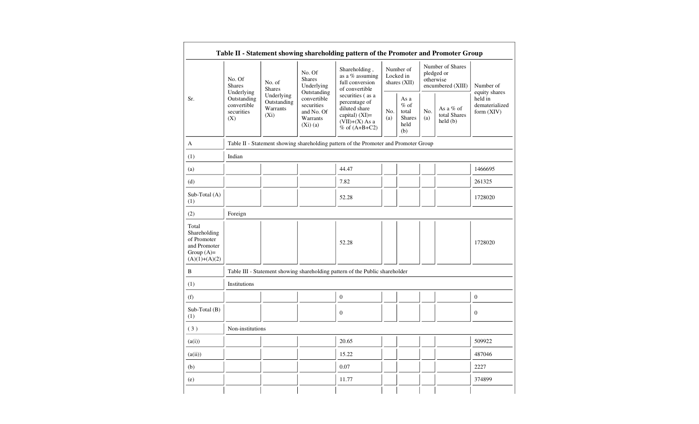| Sr.                                                                                     | No. Of<br>No. Of<br><b>Shares</b><br>No. of<br>Underlying<br><b>Shares</b><br><b>Shares</b><br>Outstanding<br>Underlying<br>Underlying<br>Outstanding<br>convertible<br>Outstanding<br>convertible<br>securities<br>Warrants<br>securities<br>and No. Of<br>$(X_i)$<br>Warrants<br>(X)<br>(Xi)(a) |                                                                                                                 | Shareholding,<br>as a % assuming<br>full conversion<br>of convertible                | Number of<br>Locked in<br>shares $(XII)$                |            | Number of Shares<br>pledged or<br>otherwise<br>encumbered (XIII) |                                           | Number of<br>equity shares |
|-----------------------------------------------------------------------------------------|---------------------------------------------------------------------------------------------------------------------------------------------------------------------------------------------------------------------------------------------------------------------------------------------------|-----------------------------------------------------------------------------------------------------------------|--------------------------------------------------------------------------------------|---------------------------------------------------------|------------|------------------------------------------------------------------|-------------------------------------------|----------------------------|
|                                                                                         |                                                                                                                                                                                                                                                                                                   | securities (as a<br>percentage of<br>diluted share<br>capital) $(XI)=$<br>$(VII)+(X)$ As a<br>$%$ of $(A+B+C2)$ | No.<br>(a)                                                                           | As a<br>$%$ of<br>total<br><b>Shares</b><br>held<br>(b) | No.<br>(a) | As a % of<br>total Shares<br>$\text{held}(\text{b})$             | held in<br>dematerialized<br>form $(XIV)$ |                            |
| A                                                                                       |                                                                                                                                                                                                                                                                                                   |                                                                                                                 | Table II - Statement showing shareholding pattern of the Promoter and Promoter Group |                                                         |            |                                                                  |                                           |                            |
| (1)                                                                                     | Indian                                                                                                                                                                                                                                                                                            |                                                                                                                 |                                                                                      |                                                         |            |                                                                  |                                           |                            |
| (a)                                                                                     |                                                                                                                                                                                                                                                                                                   |                                                                                                                 | 44.47                                                                                |                                                         |            |                                                                  |                                           | 1466695                    |
| (d)                                                                                     |                                                                                                                                                                                                                                                                                                   |                                                                                                                 | 7.82                                                                                 |                                                         |            |                                                                  |                                           | 261325                     |
| Sub-Total (A)<br>(1)                                                                    |                                                                                                                                                                                                                                                                                                   |                                                                                                                 | 52.28                                                                                |                                                         |            |                                                                  |                                           | 1728020                    |
| (2)                                                                                     | Foreign                                                                                                                                                                                                                                                                                           |                                                                                                                 |                                                                                      |                                                         |            |                                                                  |                                           |                            |
| Total<br>Shareholding<br>of Promoter<br>and Promoter<br>Group $(A)=$<br>$(A)(1)+(A)(2)$ |                                                                                                                                                                                                                                                                                                   |                                                                                                                 | 52.28                                                                                |                                                         |            |                                                                  |                                           | 1728020                    |
| B                                                                                       |                                                                                                                                                                                                                                                                                                   |                                                                                                                 | Table III - Statement showing shareholding pattern of the Public shareholder         |                                                         |            |                                                                  |                                           |                            |
| (1)                                                                                     | Institutions                                                                                                                                                                                                                                                                                      |                                                                                                                 |                                                                                      |                                                         |            |                                                                  |                                           |                            |
| (f)                                                                                     |                                                                                                                                                                                                                                                                                                   |                                                                                                                 | $\boldsymbol{0}$                                                                     |                                                         |            |                                                                  |                                           | $\boldsymbol{0}$           |
| Sub-Total (B)<br>(1)                                                                    |                                                                                                                                                                                                                                                                                                   |                                                                                                                 | $\mathbf{0}$                                                                         |                                                         |            |                                                                  |                                           | $\boldsymbol{0}$           |
| (3)                                                                                     | Non-institutions                                                                                                                                                                                                                                                                                  |                                                                                                                 |                                                                                      |                                                         |            |                                                                  |                                           |                            |
| (a(i))                                                                                  |                                                                                                                                                                                                                                                                                                   |                                                                                                                 | 20.65                                                                                |                                                         |            |                                                                  |                                           | 509922                     |
| (a(ii))                                                                                 |                                                                                                                                                                                                                                                                                                   |                                                                                                                 | 15.22                                                                                |                                                         |            |                                                                  |                                           | 487046                     |
| (b)                                                                                     |                                                                                                                                                                                                                                                                                                   |                                                                                                                 | 0.07                                                                                 |                                                         |            |                                                                  |                                           | 2227                       |
| (e)                                                                                     |                                                                                                                                                                                                                                                                                                   |                                                                                                                 | 11.77                                                                                |                                                         |            |                                                                  |                                           | 374899                     |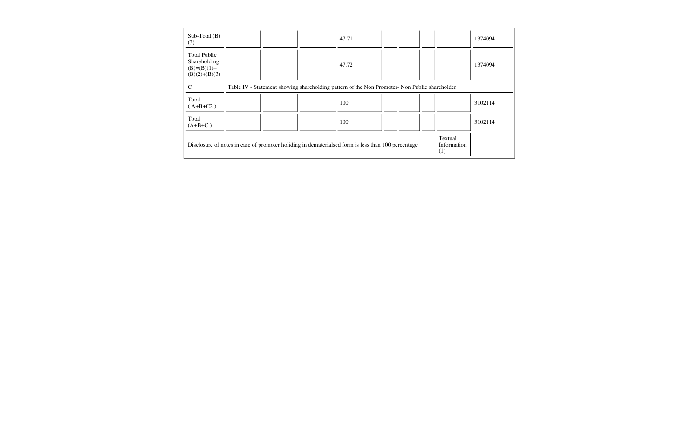| $Sub-Total(B)$<br>(3)                                                   |                                                                                               |  | 47.71                                                                                              |  |  |                        | 1374094 |
|-------------------------------------------------------------------------|-----------------------------------------------------------------------------------------------|--|----------------------------------------------------------------------------------------------------|--|--|------------------------|---------|
| <b>Total Public</b><br>Shareholding<br>$(B)=(B)(1)+$<br>$(B)(2)+(B)(3)$ |                                                                                               |  | 47.72                                                                                              |  |  |                        | 1374094 |
| C                                                                       | Table IV - Statement showing shareholding pattern of the Non Promoter- Non Public shareholder |  |                                                                                                    |  |  |                        |         |
| Total<br>$(A+B+C2)$                                                     |                                                                                               |  | 100                                                                                                |  |  |                        | 3102114 |
| Total<br>$(A+B+C)$                                                      |                                                                                               |  | 100                                                                                                |  |  |                        | 3102114 |
|                                                                         |                                                                                               |  | Disclosure of notes in case of promoter holiding in dematerialsed form is less than 100 percentage |  |  | Textual<br>Information |         |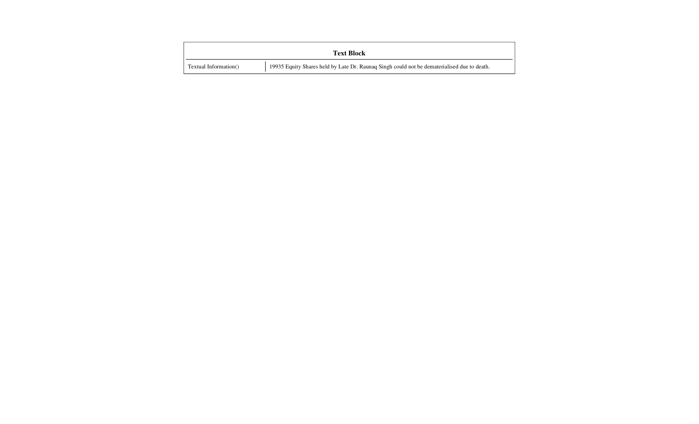|                       | <b>Text Block</b>                                                                           |
|-----------------------|---------------------------------------------------------------------------------------------|
| Textual Information() | 19935 Equity Shares held by Late Dr. Raunaq Singh could not be dematerialised due to death. |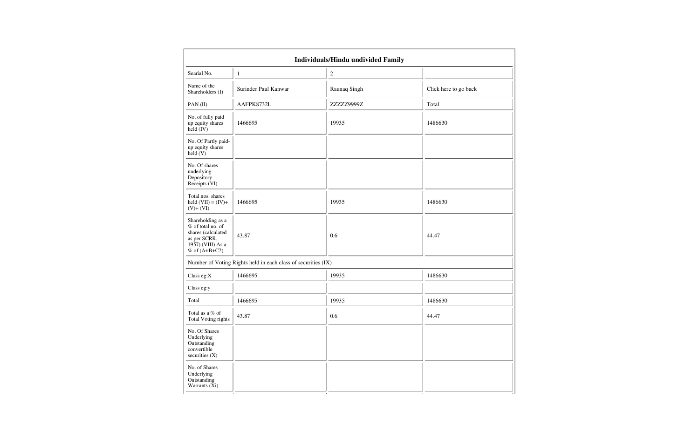|                                                                                                                               |                                                               | Individuals/Hindu undivided Family |                       |
|-------------------------------------------------------------------------------------------------------------------------------|---------------------------------------------------------------|------------------------------------|-----------------------|
| Searial No.                                                                                                                   | $\mathbf{1}$                                                  | $\overline{c}$                     |                       |
| Name of the<br>Shareholders (I)                                                                                               | Surinder Paul Kanwar                                          | Raunaq Singh                       | Click here to go back |
| PAN(II)                                                                                                                       | AAFPK8732L                                                    | ZZZZZ9999Z                         | Total                 |
| No. of fully paid<br>up equity shares<br>$\text{held} (IV)$                                                                   | 1466695                                                       | 19935                              | 1486630               |
| No. Of Partly paid-<br>up equity shares<br>held (V)                                                                           |                                                               |                                    |                       |
| No. Of shares<br>underlying<br>Depository<br>Receipts (VI)                                                                    |                                                               |                                    |                       |
| Total nos. shares<br>held $(VII) = (IV) +$<br>$(V)+(VI)$                                                                      | 1466695                                                       | 19935                              | 1486630               |
| Shareholding as a<br>% of total no. of<br>shares (calculated<br>as per SCRR,<br>$19\bar{5}7$ ) (VIII) As a<br>% of $(A+B+C2)$ | 43.87                                                         | 0.6                                | 44.47                 |
|                                                                                                                               | Number of Voting Rights held in each class of securities (IX) |                                    |                       |
| Class eg: $X$                                                                                                                 | 1466695                                                       | 19935                              | 1486630               |
| Class eg:y                                                                                                                    |                                                               |                                    |                       |
| Total                                                                                                                         | 1466695                                                       | 19935                              | 1486630               |
| Total as a % of<br>Total Voting rights                                                                                        | 43.87                                                         | 0.6                                | 44.47                 |
| No. Of Shares<br>Underlying<br>Outstanding<br>convertible<br>securities $(X)$                                                 |                                                               |                                    |                       |
| No. of Shares<br>Underlying<br>Outstanding<br>Warrants (Xi)                                                                   |                                                               |                                    |                       |

,他们的人们也不会不会不会。""我们的人们,我们的人们,我们的人们,我们的人们,我们的人们,我们的人们,我们的人们,我们的人们,我们的人们,我们的人们,我们的人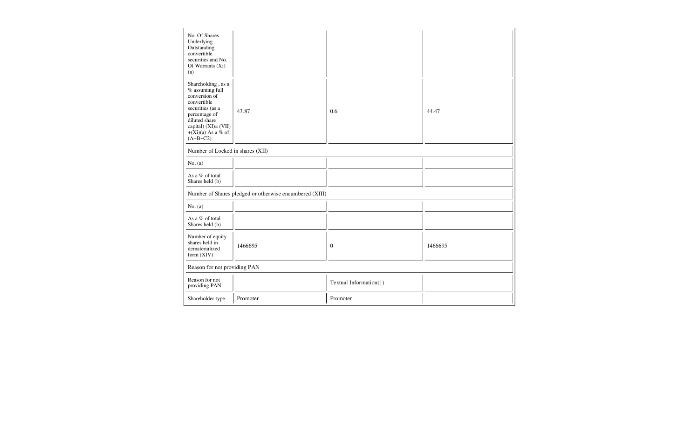| No. Of Shares<br>Underlying<br>Outstanding<br>convertible<br>securities and No.<br>Of Warrants (Xi)<br>(a)                                                                                |                                                         |                        |         |
|-------------------------------------------------------------------------------------------------------------------------------------------------------------------------------------------|---------------------------------------------------------|------------------------|---------|
| Shareholding, as a<br>% assuming full<br>conversion of<br>convertible<br>securities (as a<br>percentage of<br>diluted share<br>capital) (XI)= (VII)<br>$+(Xi)(a)$ As a % of<br>$(A+B+C2)$ | 43.87                                                   | 0.6                    | 44.47   |
| Number of Locked in shares (XII)                                                                                                                                                          |                                                         |                        |         |
| No. $(a)$                                                                                                                                                                                 |                                                         |                        |         |
| As a % of total<br>Shares held (b)                                                                                                                                                        |                                                         |                        |         |
|                                                                                                                                                                                           | Number of Shares pledged or otherwise encumbered (XIII) |                        |         |
| No. $(a)$                                                                                                                                                                                 |                                                         |                        |         |
| As a % of total<br>Shares held (b)                                                                                                                                                        |                                                         |                        |         |
| Number of equity<br>shares held in<br>dematerialized<br>form $(XIV)$                                                                                                                      | 1466695                                                 | $\theta$               | 1466695 |
| Reason for not providing PAN                                                                                                                                                              |                                                         |                        |         |
| Reason for not<br>providing PAN                                                                                                                                                           |                                                         | Textual Information(1) |         |
| Shareholder type                                                                                                                                                                          | Promoter                                                | Promoter               |         |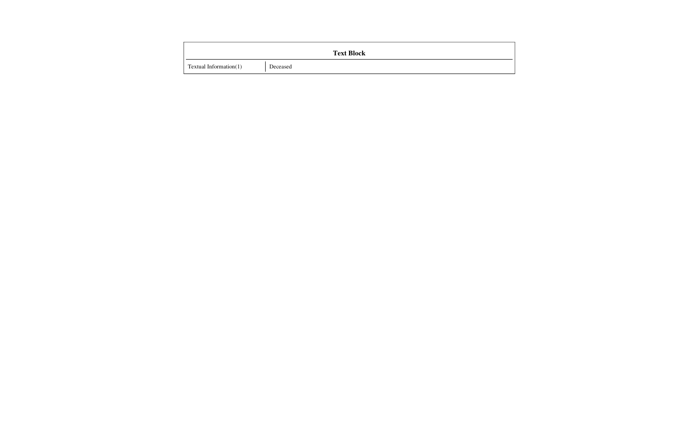|                        | <b>Text Block</b> |
|------------------------|-------------------|
| Textual Information(1) | Deceased          |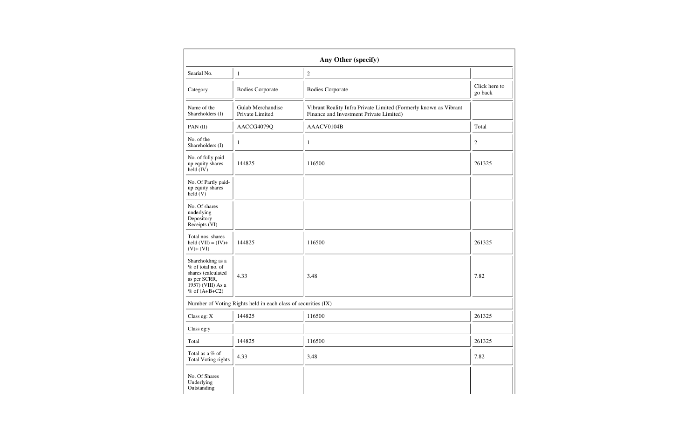| Any Other (specify)                                                                                                      |                                                               |                                                                                                             |                          |  |  |  |  |  |  |  |
|--------------------------------------------------------------------------------------------------------------------------|---------------------------------------------------------------|-------------------------------------------------------------------------------------------------------------|--------------------------|--|--|--|--|--|--|--|
| Searial No.                                                                                                              | $\mathbf{1}$                                                  | $\sqrt{2}$                                                                                                  |                          |  |  |  |  |  |  |  |
| Category                                                                                                                 | <b>Bodies Corporate</b>                                       | <b>Bodies Corporate</b>                                                                                     | Click here to<br>go back |  |  |  |  |  |  |  |
| Name of the<br>Shareholders (I)                                                                                          | Gulab Merchandise<br>Private Limited                          | Vibrant Reality Infra Private Limited (Formerly known as Vibrant<br>Finance and Investment Private Limited) |                          |  |  |  |  |  |  |  |
| PAN(II)                                                                                                                  | AACCG4079Q                                                    | AAACV0104B                                                                                                  | Total                    |  |  |  |  |  |  |  |
| No. of the<br>Shareholders (I)                                                                                           | $\mathbf{1}$                                                  | $\mathbf{1}$                                                                                                | $\overline{c}$           |  |  |  |  |  |  |  |
| No. of fully paid<br>up equity shares<br>held (IV)                                                                       | 144825                                                        | 116500                                                                                                      | 261325                   |  |  |  |  |  |  |  |
| No. Of Partly paid-<br>up equity shares<br>$\text{held}(V)$                                                              |                                                               |                                                                                                             |                          |  |  |  |  |  |  |  |
| No. Of shares<br>underlying<br>Depository<br>Receipts (VI)                                                               |                                                               |                                                                                                             |                          |  |  |  |  |  |  |  |
| Total nos. shares<br>held $(VII) = (IV) +$<br>$(V)+(VI)$                                                                 | 144825                                                        | 116500                                                                                                      | 261325                   |  |  |  |  |  |  |  |
| Shareholding as a<br>$%$ of total no. of<br>shares (calculated<br>as per SCRR,<br>1957) (VIII) As a<br>$%$ of $(A+B+C2)$ | 4.33                                                          | 3.48                                                                                                        | 7.82                     |  |  |  |  |  |  |  |
|                                                                                                                          | Number of Voting Rights held in each class of securities (IX) |                                                                                                             |                          |  |  |  |  |  |  |  |
| Class eg: $X$                                                                                                            | 144825                                                        | 116500                                                                                                      | 261325                   |  |  |  |  |  |  |  |
| Class eg:y                                                                                                               |                                                               |                                                                                                             |                          |  |  |  |  |  |  |  |
| Total                                                                                                                    | 144825                                                        | 116500                                                                                                      | 261325                   |  |  |  |  |  |  |  |
| Total as a % of<br>Total Voting rights                                                                                   | 4.33                                                          | 3.48                                                                                                        | 7.82                     |  |  |  |  |  |  |  |
| No. Of Shares<br>Underlying<br>Outstanding                                                                               |                                                               |                                                                                                             |                          |  |  |  |  |  |  |  |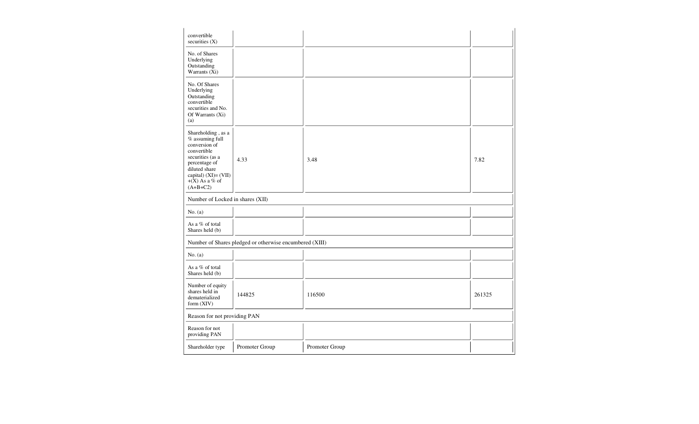| convertible<br>securities $(X)$                                                                                                                                                       |                                                         |                |        |
|---------------------------------------------------------------------------------------------------------------------------------------------------------------------------------------|---------------------------------------------------------|----------------|--------|
| No. of Shares<br>Underlying<br>Outstanding<br>Warrants (Xi)                                                                                                                           |                                                         |                |        |
| No. Of Shares<br>Underlying<br>Outstanding<br>convertible<br>securities and No.<br>Of Warrants (Xi)<br>(a)                                                                            |                                                         |                |        |
| Shareholding, as a<br>% assuming full<br>conversion of<br>convertible<br>securities (as a<br>percentage of<br>diluted share<br>capital) (XI)= (VII)<br>$+(X)$ As a % of<br>$(A+B+C2)$ | 4.33                                                    | 3.48           | 7.82   |
| Number of Locked in shares (XII)                                                                                                                                                      |                                                         |                |        |
| No. $(a)$                                                                                                                                                                             |                                                         |                |        |
| As a % of total<br>Shares held (b)                                                                                                                                                    |                                                         |                |        |
|                                                                                                                                                                                       | Number of Shares pledged or otherwise encumbered (XIII) |                |        |
| No. (a)                                                                                                                                                                               |                                                         |                |        |
| As a % of total<br>Shares held (b)                                                                                                                                                    |                                                         |                |        |
| Number of equity<br>shares held in<br>dematerialized<br>form (XIV)                                                                                                                    | 144825                                                  | 116500         | 261325 |
| Reason for not providing PAN                                                                                                                                                          |                                                         |                |        |
| Reason for not<br>providing PAN                                                                                                                                                       |                                                         |                |        |
| Shareholder type                                                                                                                                                                      | Promoter Group                                          | Promoter Group |        |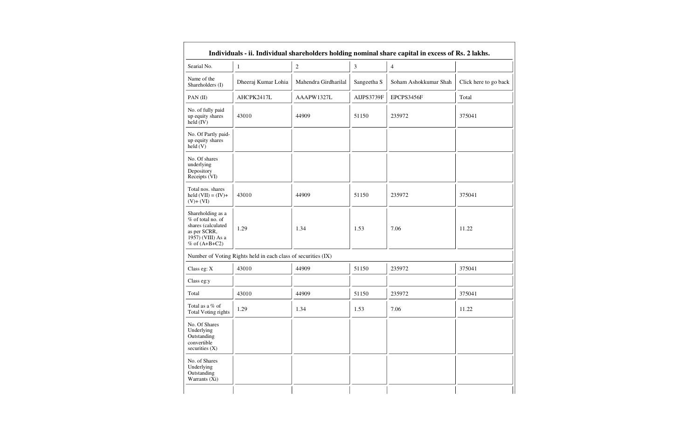| Individuals - ii. Individual shareholders holding nominal share capital in excess of Rs. 2 lakhs.                      |                                                               |                      |                |                       |                       |  |  |  |  |  |  |
|------------------------------------------------------------------------------------------------------------------------|---------------------------------------------------------------|----------------------|----------------|-----------------------|-----------------------|--|--|--|--|--|--|
| Searial No.                                                                                                            | $\mathbf{1}$                                                  | $\boldsymbol{2}$     | $\mathfrak{Z}$ | $\overline{4}$        |                       |  |  |  |  |  |  |
| Name of the<br>Shareholders (I)                                                                                        | Dheeraj Kumar Lohia                                           | Mahendra Girdharilal | Sangeetha S    | Soham Ashokkumar Shah | Click here to go back |  |  |  |  |  |  |
| PAN(II)                                                                                                                | AHCPK2417L                                                    | AAAPW1327L           | AIJPS3739F     | EPCPS3456F            | Total                 |  |  |  |  |  |  |
| No. of fully paid<br>up equity shares<br>held (IV)                                                                     | 43010                                                         | 44909                | 51150          | 235972                | 375041                |  |  |  |  |  |  |
| No. Of Partly paid-<br>up equity shares<br>$\text{held}(V)$                                                            |                                                               |                      |                |                       |                       |  |  |  |  |  |  |
| No. Of shares<br>underlying<br>Depository<br>Receipts (VI)                                                             |                                                               |                      |                |                       |                       |  |  |  |  |  |  |
| Total nos. shares<br>held $(VII) = (IV) +$<br>$(V)+(VI)$                                                               | 43010                                                         | 44909                | 51150          | 235972                | 375041                |  |  |  |  |  |  |
| Shareholding as a<br>$%$ of total no. of<br>shares (calculated<br>as per SCRR,<br>1957) (VIII) As a<br>% of $(A+B+C2)$ | 1.29                                                          | 1.34                 | 1.53           | 7.06                  | 11.22                 |  |  |  |  |  |  |
|                                                                                                                        | Number of Voting Rights held in each class of securities (IX) |                      |                |                       |                       |  |  |  |  |  |  |
| Class eg: $X$                                                                                                          | 43010                                                         | 44909                | 51150          | 235972                | 375041                |  |  |  |  |  |  |
| Class eg:y                                                                                                             |                                                               |                      |                |                       |                       |  |  |  |  |  |  |
| Total                                                                                                                  | 43010                                                         | 44909                | 51150          | 235972                | 375041                |  |  |  |  |  |  |
| Total as a % of<br>Total Voting rights                                                                                 | 1.29                                                          | 1.34                 | 1.53           | 7.06                  | 11.22                 |  |  |  |  |  |  |
| No. Of Shares<br>Underlying<br>Outstanding<br>convertible<br>securities $(X)$                                          |                                                               |                      |                |                       |                       |  |  |  |  |  |  |
| No. of Shares<br>Underlying<br>Outstanding<br>Warrants (Xi)                                                            |                                                               |                      |                |                       |                       |  |  |  |  |  |  |
|                                                                                                                        |                                                               |                      |                |                       |                       |  |  |  |  |  |  |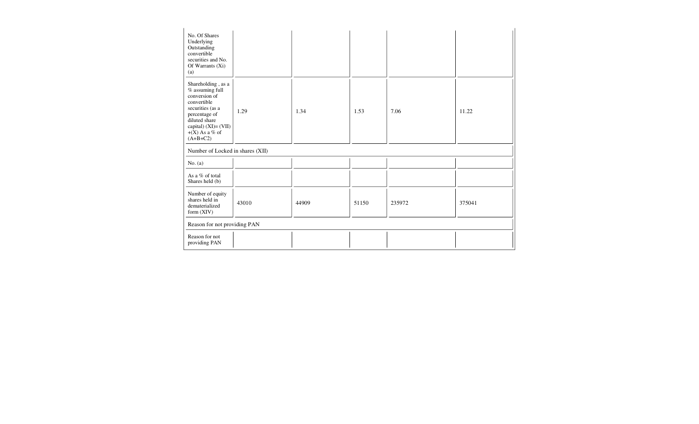| No. Of Shares<br>Underlying<br>Outstanding<br>convertible<br>securities and No.<br>Of Warrants $(X_i)$<br>(a)                                                                                    |                              |       |       |        |        |  |  |  |  |
|--------------------------------------------------------------------------------------------------------------------------------------------------------------------------------------------------|------------------------------|-------|-------|--------|--------|--|--|--|--|
| Shareholding, as a<br>$\%$ assuming full<br>conversion of<br>convertible<br>securities (as a<br>1.29<br>percentage of<br>diluted share<br>capital) (XI)= (VII)<br>$+(X)$ As a % of<br>$(A+B+C2)$ |                              | 1.34  | 1.53  | 7.06   | 11.22  |  |  |  |  |
| Number of Locked in shares (XII)                                                                                                                                                                 |                              |       |       |        |        |  |  |  |  |
| No. (a)                                                                                                                                                                                          |                              |       |       |        |        |  |  |  |  |
| As a % of total<br>Shares held (b)                                                                                                                                                               |                              |       |       |        |        |  |  |  |  |
| Number of equity<br>shares held in<br>43010<br>dematerialized<br>form (XIV)                                                                                                                      |                              | 44909 | 51150 | 235972 | 375041 |  |  |  |  |
|                                                                                                                                                                                                  | Reason for not providing PAN |       |       |        |        |  |  |  |  |
| Reason for not<br>providing PAN                                                                                                                                                                  |                              |       |       |        |        |  |  |  |  |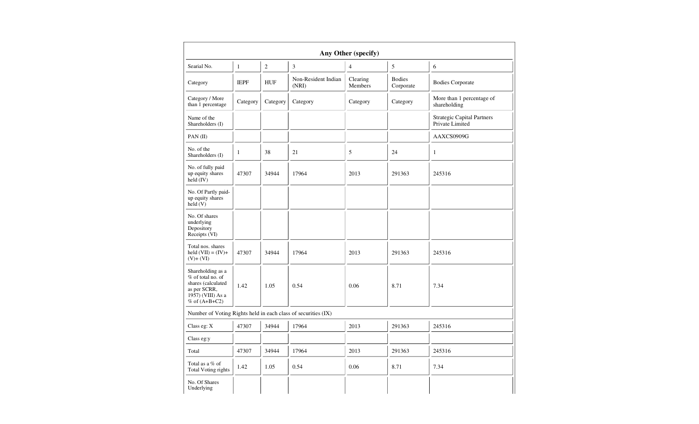| Any Other (specify)                                                                                                  |                      |                |                              |                     |                            |                                                      |  |  |  |  |
|----------------------------------------------------------------------------------------------------------------------|----------------------|----------------|------------------------------|---------------------|----------------------------|------------------------------------------------------|--|--|--|--|
| Searial No.                                                                                                          | $\mathbf{1}$         | $\overline{2}$ | 3                            | $\overline{4}$      | 5                          | 6                                                    |  |  |  |  |
| Category                                                                                                             | <b>IEPF</b>          | <b>HUF</b>     | Non-Resident Indian<br>(NRI) | Clearing<br>Members | <b>Bodies</b><br>Corporate | <b>Bodies Corporate</b>                              |  |  |  |  |
| Category / More<br>than 1 percentage                                                                                 | Category             | Category       | Category                     | Category            | Category                   | More than 1 percentage of<br>shareholding            |  |  |  |  |
| Name of the<br>Shareholders (I)                                                                                      |                      |                |                              |                     |                            | <b>Strategic Capital Partners</b><br>Private Limited |  |  |  |  |
| PAN(II)                                                                                                              |                      |                |                              |                     |                            | AAXCS0909G                                           |  |  |  |  |
| No. of the<br>Shareholders (I)                                                                                       | $\mathbf{1}$         | 38             | 21                           | 5                   | 24                         | $\mathbf{1}$                                         |  |  |  |  |
| No. of fully paid<br>up equity shares<br>held (IV)                                                                   | 47307                | 34944<br>17964 |                              | 2013                | 291363                     | 245316                                               |  |  |  |  |
| No. Of Partly paid-<br>up equity shares<br>$\text{held} (V)$                                                         |                      |                |                              |                     |                            |                                                      |  |  |  |  |
| No. Of shares<br>underlying<br>Depository<br>Receipts (VI)                                                           |                      |                |                              |                     |                            |                                                      |  |  |  |  |
| Total nos. shares<br>held $(VII) = (IV) +$<br>$(V)+(VI)$                                                             | 47307                | 34944          | 17964                        | 2013                | 291363                     | 245316                                               |  |  |  |  |
| Shareholding as a<br>% of total no. of<br>shares (calculated<br>as per SCRR,<br>1957) (VIII) As a<br>% of $(A+B+C2)$ | 1.42<br>1.05<br>0.54 |                |                              | 0.06<br>8.71        |                            | 7.34                                                 |  |  |  |  |
| Number of Voting Rights held in each class of securities (IX)                                                        |                      |                |                              |                     |                            |                                                      |  |  |  |  |
| Class eg: $X$                                                                                                        | 47307                | 34944          | 17964                        | 2013                | 291363                     | 245316                                               |  |  |  |  |
| Class eg:y                                                                                                           |                      |                |                              |                     |                            |                                                      |  |  |  |  |
| Total                                                                                                                | 47307                | 34944          | 17964                        | 2013                | 291363                     | 245316                                               |  |  |  |  |
| Total as a % of<br>Total Voting rights                                                                               | 1.42                 | 1.05           | 0.54                         | 0.06                | 8.71                       | 7.34                                                 |  |  |  |  |
| No. Of Shares<br>Underlying                                                                                          |                      |                |                              |                     |                            |                                                      |  |  |  |  |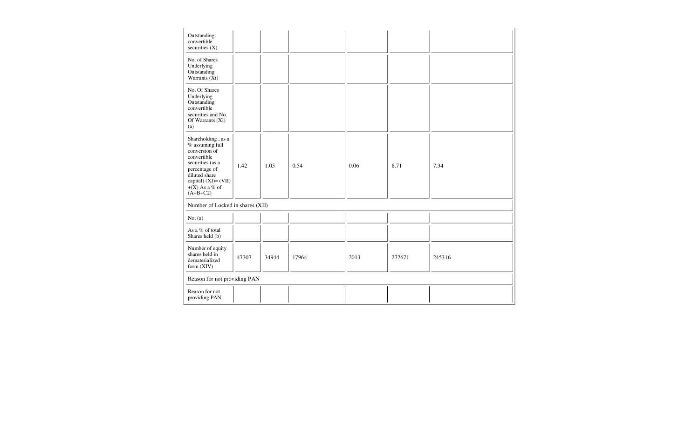| Outstanding<br>convertible<br>securities $(X)$                                                                                                                                           |       |       |       |      |        |        |  |
|------------------------------------------------------------------------------------------------------------------------------------------------------------------------------------------|-------|-------|-------|------|--------|--------|--|
| No. of Shares<br>Underlying<br>Outstanding<br>Warrants (Xi)                                                                                                                              |       |       |       |      |        |        |  |
| No. Of Shares<br>Underlying<br>Outstanding<br>convertible<br>securities and No.<br>Of Warrants (Xi)<br>(a)                                                                               |       |       |       |      |        |        |  |
| Shareholding, as a<br>% assuming full<br>conversion of<br>convertible<br>securities (as a<br>percentage of<br>diluted share<br>capital) $(XI) = (VII)$<br>$+(X)$ As a % of<br>$(A+B+C2)$ | 1.42  | 1.05  | 0.54  | 0.06 | 8.71   | 7.34   |  |
| Number of Locked in shares (XII)                                                                                                                                                         |       |       |       |      |        |        |  |
| No. (a)                                                                                                                                                                                  |       |       |       |      |        |        |  |
| As a % of total<br>Shares held (b)                                                                                                                                                       |       |       |       |      |        |        |  |
| Number of equity<br>shares held in<br>dematerialized<br>form $(XIV)$                                                                                                                     | 47307 | 34944 | 17964 | 2013 | 272671 | 245316 |  |
| Reason for not providing PAN                                                                                                                                                             |       |       |       |      |        |        |  |
| Reason for not<br>providing PAN                                                                                                                                                          |       |       |       |      |        |        |  |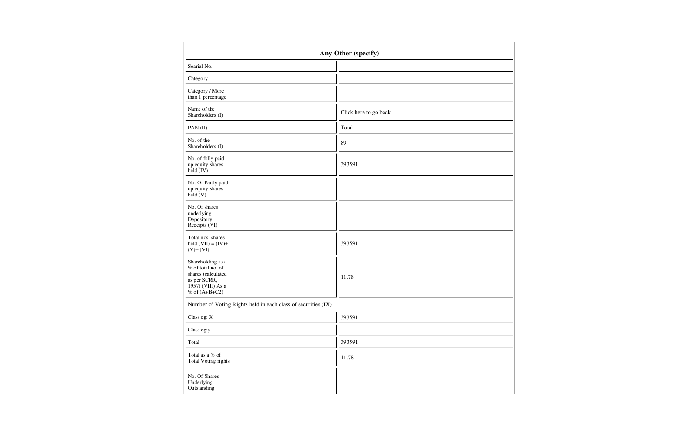| Any Other (specify)                                                                                                    |                       |  |  |  |  |  |  |  |
|------------------------------------------------------------------------------------------------------------------------|-----------------------|--|--|--|--|--|--|--|
| Searial No.                                                                                                            |                       |  |  |  |  |  |  |  |
| Category                                                                                                               |                       |  |  |  |  |  |  |  |
| Category / More<br>than 1 percentage                                                                                   |                       |  |  |  |  |  |  |  |
| Name of the<br>Shareholders (I)                                                                                        | Click here to go back |  |  |  |  |  |  |  |
| PAN (II)                                                                                                               | Total                 |  |  |  |  |  |  |  |
| No. of the<br>Shareholders (I)                                                                                         | 89                    |  |  |  |  |  |  |  |
| No. of fully paid<br>up equity shares<br>$\text{held}(\text{IV})$                                                      | 393591                |  |  |  |  |  |  |  |
| No. Of Partly paid-<br>up equity shares<br>$\text{held}(V)$                                                            |                       |  |  |  |  |  |  |  |
| No. Of shares<br>underlying<br>Depository<br>Receipts (VI)                                                             |                       |  |  |  |  |  |  |  |
| Total nos. shares<br>held $(VII) = (IV) +$<br>$(V)+(VI)$                                                               | 393591                |  |  |  |  |  |  |  |
| Shareholding as a<br>% of total no. of<br>shares (calculated<br>as per SCRR,<br>1957) (VIII) As a<br>$%$ of $(A+B+C2)$ | 11.78                 |  |  |  |  |  |  |  |
| Number of Voting Rights held in each class of securities (IX)                                                          |                       |  |  |  |  |  |  |  |
| Class eg: X                                                                                                            | 393591                |  |  |  |  |  |  |  |
| Class eg:y                                                                                                             |                       |  |  |  |  |  |  |  |
| Total                                                                                                                  | 393591                |  |  |  |  |  |  |  |
| Total as a $\%$ of<br>Total Voting rights                                                                              | 11.78                 |  |  |  |  |  |  |  |
| No. Of Shares<br>Underlying<br>Outstanding                                                                             |                       |  |  |  |  |  |  |  |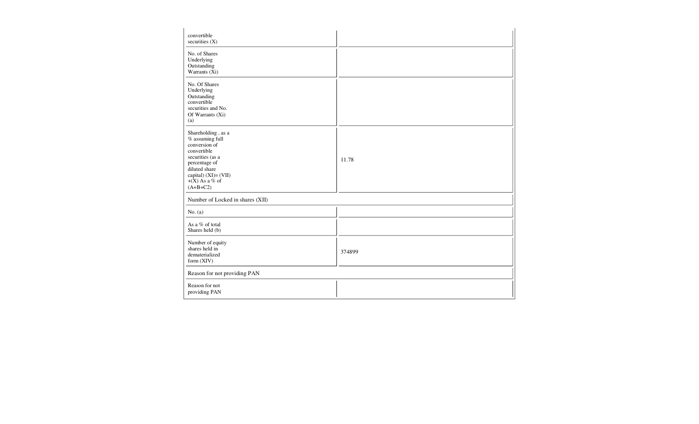| convertible<br>securities (X)                                                                                                                                                            |        |
|------------------------------------------------------------------------------------------------------------------------------------------------------------------------------------------|--------|
| No. of Shares<br>Underlying<br>Outstanding<br>Warrants $(X_i)$                                                                                                                           |        |
| No. Of Shares<br>Underlying<br>Outstanding<br>convertible<br>securities and No.<br>Of Warrants (Xi)<br>(a)                                                                               |        |
| Shareholding, as a<br>% assuming full<br>conversion of<br>convertible<br>securities (as a<br>percentage of<br>diluted share<br>capital) $(XI) = (VII)$<br>$+(X)$ As a % of<br>$(A+B+C2)$ | 11.78  |
| Number of Locked in shares (XII)                                                                                                                                                         |        |
| No. (a)                                                                                                                                                                                  |        |
| As a % of total<br>Shares held (b)                                                                                                                                                       |        |
| Number of equity<br>shares held in<br>dematerialized<br>form (XIV)                                                                                                                       | 374899 |
| Reason for not providing PAN                                                                                                                                                             |        |
| Reason for not<br>providing PAN                                                                                                                                                          |        |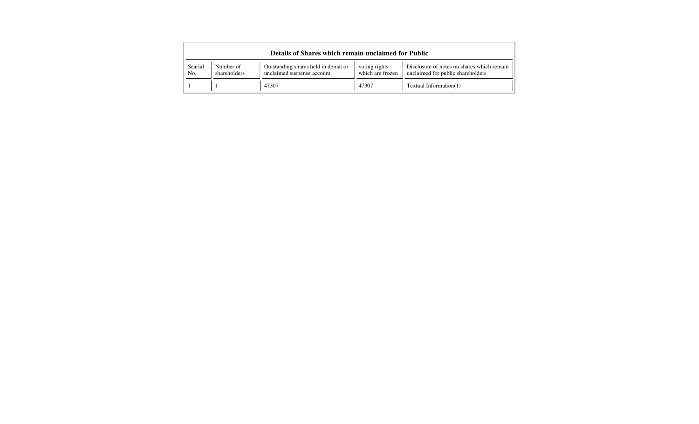| Details of Shares which remain unclaimed for Public |                           |                                                                   |                                   |                                                                                 |  |  |  |  |  |  |
|-----------------------------------------------------|---------------------------|-------------------------------------------------------------------|-----------------------------------|---------------------------------------------------------------------------------|--|--|--|--|--|--|
| Searial<br>No.                                      | Number of<br>shareholders | Outstanding shares held in demat or<br>unclaimed suspense account | voting rights<br>which are frozen | Disclosure of notes on shares which remain<br>unclaimed for public shareholders |  |  |  |  |  |  |
|                                                     |                           | 47307                                                             | 47307                             | Textual Information $(1)$                                                       |  |  |  |  |  |  |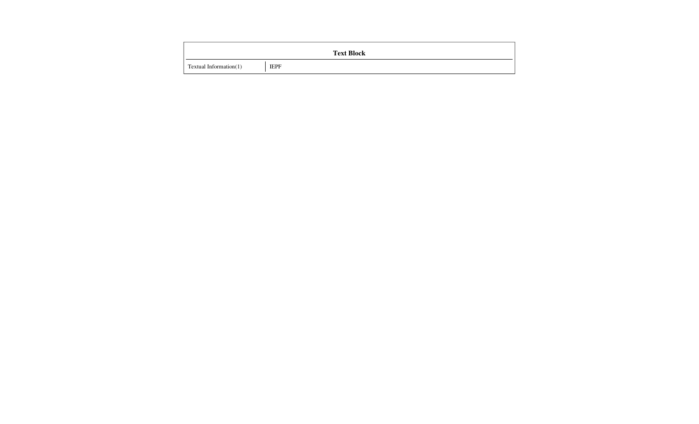|                        | <b>Text Block</b> |
|------------------------|-------------------|
| Textual Information(1) | <b>IEPF</b>       |